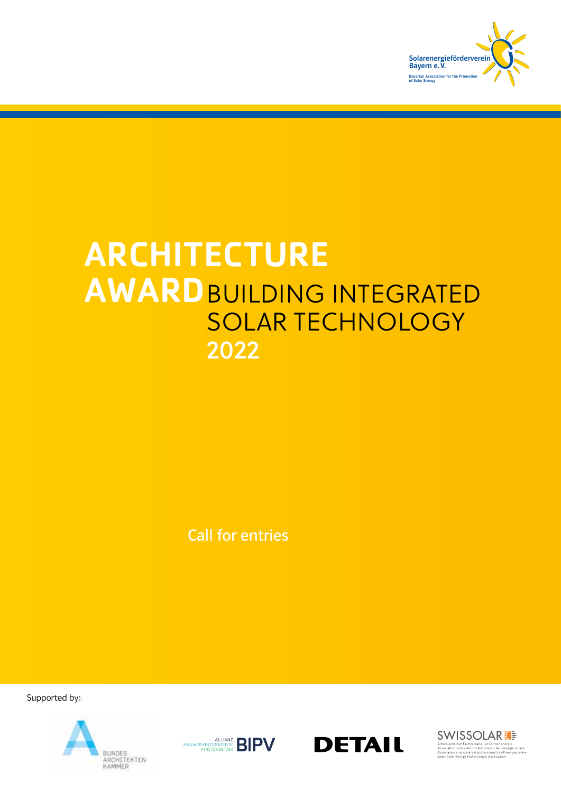

# ARCHITECTURE AWARDBUILDING INTEGRATED SOLAR TECHNOLOGY 2022

Call for entries

Supported by::







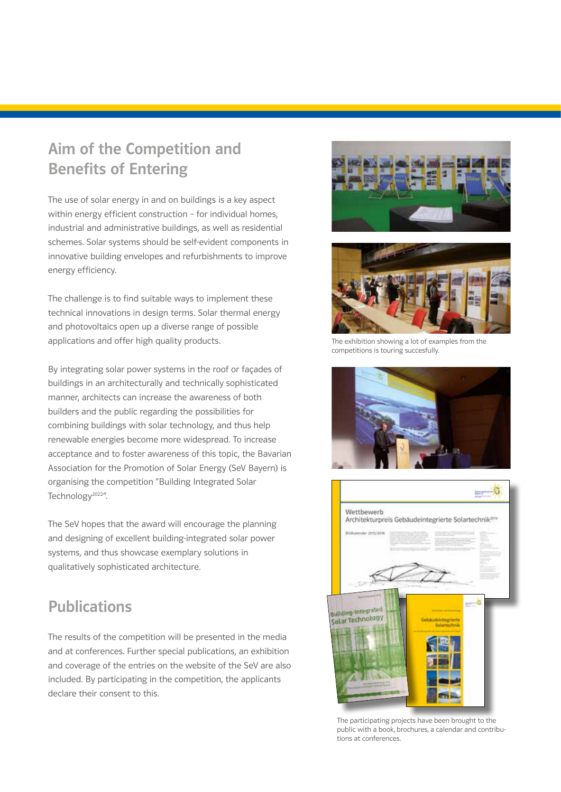### Aim of the Competition and Benefits of Entering

The use of solar energy in and on buildings is a key aspect within energy efficient construction – for individual homes, industrial and administrative buildings, as well as residential schemes. Solar systems should be self-evident components in innovative building envelopes and refurbishments to improve energy efficiency.

The challenge is to find suitable ways to implement these technical innovations in design terms. Solar thermal energy and photovoltaics open up a diverse range of possible applications and offer high quality products.

By integrating solar power systems in the roof or façades of buildings in an architecturally and technically sophisticated manner, architects can increase the awareness of both builders and the public regarding the possibilities for combining buildings with solar technology, and thus help renewable energies become more widespread. To increase acceptance and to foster awareness of this topic, the Bavarian Association for the Promotion of Solar Energy (SeV Bayern) is organising the competition "Building Integrated Solar Technology<sup>2022"</sup>.

The SeV hopes that the award will encourage the planning and designing of excellent building-integrated solar power systems, and thus showcase exemplary solutions in qualitatively sophisticated architecture.

### Publications

The results of the competition will be presented in the media and at conferences. Further special publications, an exhibition and coverage of the entries on the website of the SeV are also included. By participating in the competition, the applicants declare their consent to this.





The exhibition showing a lot of examples from the competitions is touring succesfully.





The participating projects have been brought to the public with a book, brochures, a calendar and contributions at conferences.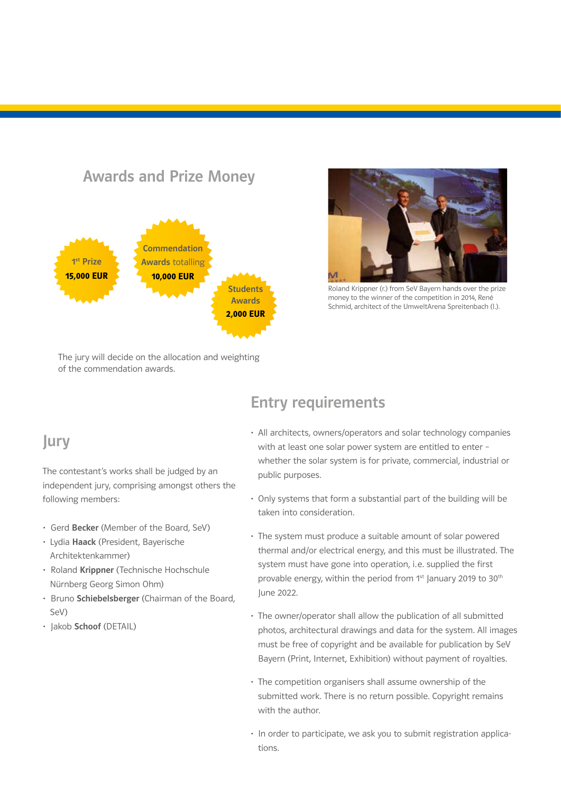

Roland Krippner (r.) from SeV Bayern hands over the prize money to the winner of the competition in 2014, René Schmid, architect of the UmweltArena Spreitenbach (l.).

The jury will decide on the allocation and weighting of the commendation awards.

#### Jury

The contestant's works shall be judged by an independent jury, comprising amongst others the following members:

- Gerd Becker (Member of the Board, SeV)
- Lydia Haack (President, Bayerische Architektenkammer)
- Roland Krippner (Technische Hochschule Nürnberg Georg Simon Ohm)
- Bruno Schiebelsberger (Chairman of the Board, SeV)
- Jakob Schoof (DETAIL)

#### Entry requirements

- All architects, owners/operators and solar technology companies with at least one solar power system are entitled to enter – whether the solar system is for private, commercial, industrial or public purposes.
- Only systems that form a substantial part of the building will be taken into consideration.
- The system must produce a suitable amount of solar powered thermal and/or electrical energy, and this must be illustrated. The system must have gone into operation, i.e. supplied the first provable energy, within the period from 1<sup>st</sup> January 2019 to 30<sup>th</sup> June 2022.
- The owner/operator shall allow the publication of all submitted photos, architectural drawings and data for the system. All images must be free of copyright and be available for publication by SeV Bayern (Print, Internet, Exhibition) without payment of royalties.
- The competition organisers shall assume ownership of the submitted work. There is no return possible. Copyright remains with the author.
- In order to participate, we ask you to submit registration applications.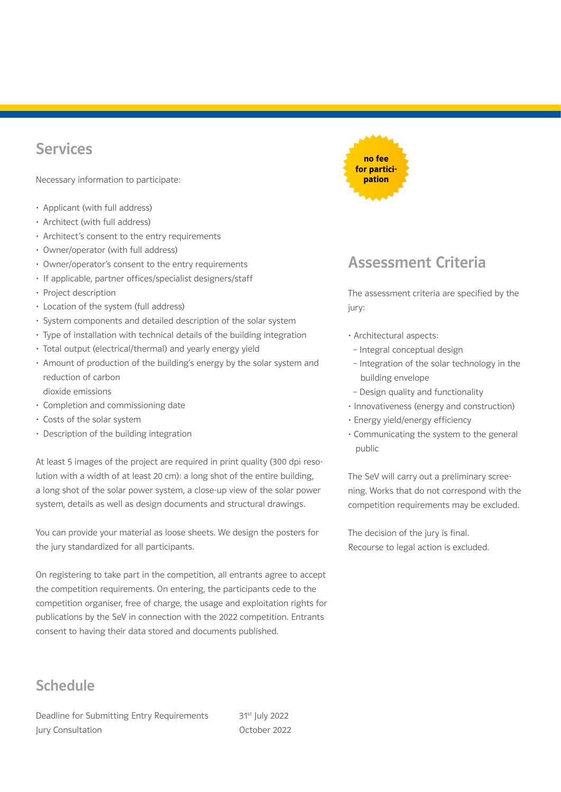#### Services

Necessary information to participate:

- Applicant (with full address)
- Architect (with full address)
- Architect's consent to the entry requirements
- Owner/operator (with full address)
- Owner/operator's consent to the entry requirements
- If applicable, partner offices/specialist designers/staff
- Project description
- Location of the system (full address)
- System components and detailed description of the solar system
- Type of installation with technical details of the building integration
- Total output (electrical/thermal) and yearly energy yield
- Amount of production of the building's energy by the solar system and reduction of carbon
	- dioxide emissions
- Completion and commissioning date
- Costs of the solar system
- Description of the building integration

At least 5 images of the project are required in print quality (300 dpi resolution with a width of at least 20 cm): a long shot of the entire building, a long shot of the solar power system, a close-up view of the solar power system, details as well as design documents and structural drawings.

You can provide your material as loose sheets. We design the posters for the jury standardized for all participants.

On registering to take part in the competition, all entrants agree to accept the competition requirements. On entering, the participants cede to the competition organiser, free of charge, the usage and exploitation rights for publications by the SeV in connection with the 2022 competition. Entrants consent to having their data stored and documents published.

### **Schedule**

Deadline for Submitting Entry Requirements 31<sup>st</sup> July 2022 Jury Consultation **October 2022** 



#### Assessment Criteria

The assessment criteria are specified by the jury:

- Architectural aspects:
- Integral conceptual design
- Integration of the solar technology in the building envelope
- Design quality and functionality
- Innovativeness (energy and construction)
- Energy yield/energy efficiency
- Communicating the system to the general public

The SeV will carry out a preliminary screening. Works that do not correspond with the competition requirements may be excluded.

The decision of the jury is final. Recourse to legal action is excluded.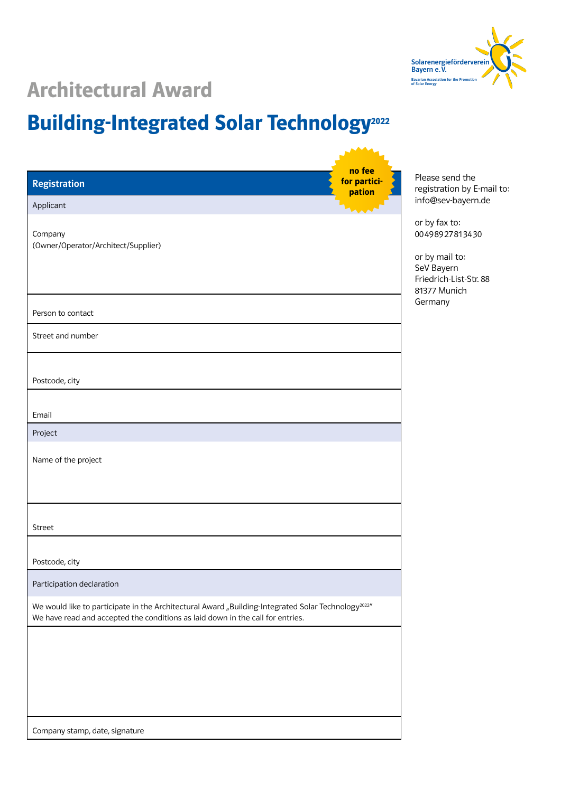

**SAAA** 

## **Architectural Award**

### Building-Integrated Solar Technology<sup>2022</sup>

| <b>Registration</b><br>Applicant                                                                                                                                                                  | no fee<br>for partici-<br>pation | Please send the<br>registration by E-mail to:<br>info@sev-bayern.de                       |
|---------------------------------------------------------------------------------------------------------------------------------------------------------------------------------------------------|----------------------------------|-------------------------------------------------------------------------------------------|
| Company<br>(Owner/Operator/Architect/Supplier)                                                                                                                                                    |                                  | or by fax to:<br>00498927813430<br>or by mail to:<br>SeV Bayern<br>Friedrich-List-Str. 88 |
| Person to contact<br>Street and number                                                                                                                                                            |                                  | 81377 Munich<br>Germany                                                                   |
| Postcode, city                                                                                                                                                                                    |                                  |                                                                                           |
| Email<br>Project                                                                                                                                                                                  |                                  |                                                                                           |
| Name of the project                                                                                                                                                                               |                                  |                                                                                           |
| Street                                                                                                                                                                                            |                                  |                                                                                           |
| Postcode, city                                                                                                                                                                                    |                                  |                                                                                           |
| Participation declaration                                                                                                                                                                         |                                  |                                                                                           |
| We would like to participate in the Architectural Award "Building-Integrated Solar Technology <sup>2022</sup> "<br>We have read and accepted the conditions as laid down in the call for entries. |                                  |                                                                                           |
|                                                                                                                                                                                                   |                                  |                                                                                           |
| Company stamp, date, signature                                                                                                                                                                    |                                  |                                                                                           |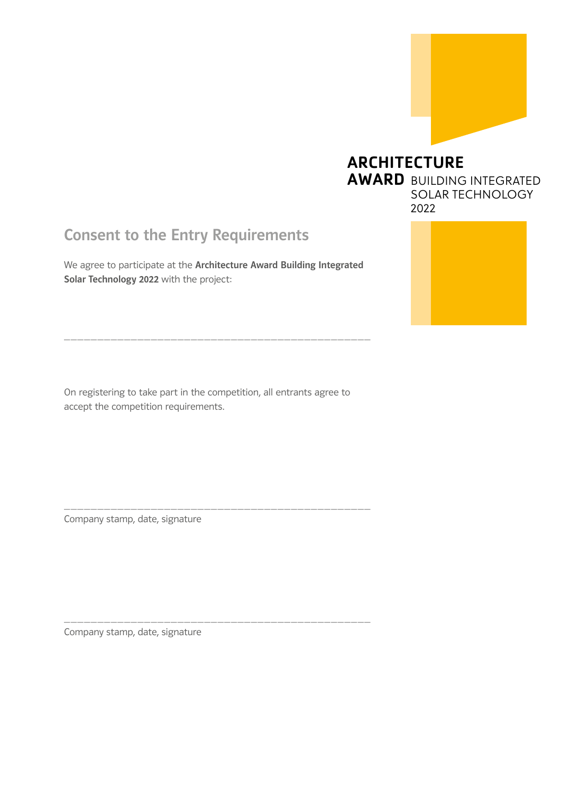

#### ARCHITECTURE AWARD BUILDING INTEGRATED SOLAR TECHNOLOGY 2022

### Consent to the Entry Requirements

We agree to participate at the Architecture Award Building Integrated Solar Technology 2022 with the project:

\_\_\_\_\_\_\_\_\_\_\_\_\_\_\_\_\_\_\_\_\_\_\_\_\_\_\_\_\_\_\_\_\_\_\_\_\_\_\_\_\_\_\_\_\_\_

On registering to take part in the competition, all entrants agree to accept the competition requirements.

\_\_\_\_\_\_\_\_\_\_\_\_\_\_\_\_\_\_\_\_\_\_\_\_\_\_\_\_\_\_\_\_\_\_\_\_\_\_\_\_\_\_\_\_\_\_

\_\_\_\_\_\_\_\_\_\_\_\_\_\_\_\_\_\_\_\_\_\_\_\_\_\_\_\_\_\_\_\_\_\_\_\_\_\_\_\_\_\_\_\_\_\_

Company stamp, date, signature

Company stamp, date, signature